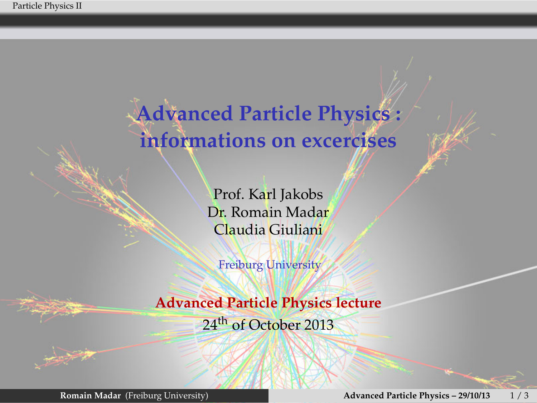Particle Physics II

**Advanced Particle Physics : informations on excercises**

> Prof. Karl Jakobs Dr. Romain Madar Claudia Giuliani

Freiburg University

**Advanced Particle Physics lecture** 24<sup>th</sup> of October 2013

**Romain Madar** (Freiburg University) **Advanced Particle Physics – 29/10/13** 1 / 3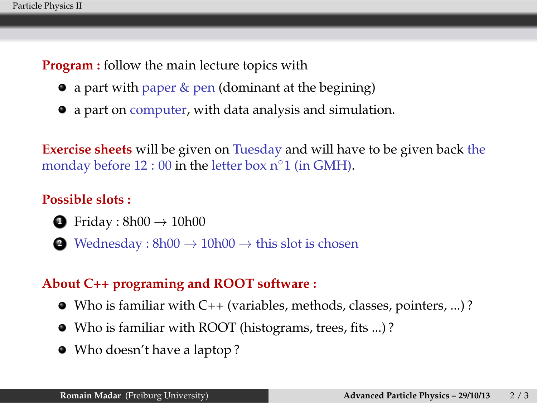**Program :** follow the main lecture topics with

- a part with paper & pen (dominant at the begining)
- a part on computer, with data analysis and simulation.

**Exercise sheets** will be given on Tuesday and will have to be given back the monday before 12 : 00 in the letter box n*◦*1 (in GMH).

## **Possible slots :**

- **<sup>1</sup>**. Friday : 8h00 *<sup>→</sup>* 10h00
- **<sup>2</sup>**. Wednesday : 8h00 *<sup>→</sup>* 10h00 *<sup>→</sup>* this slot is chosen

## **About C++ programing and ROOT software :**

- Who is familiar with C++ (variables, methods, classes, pointers, ...) ?
- Who is familiar with ROOT (histograms, trees, fits ...) ?
- Who doesn't have a laptop ?